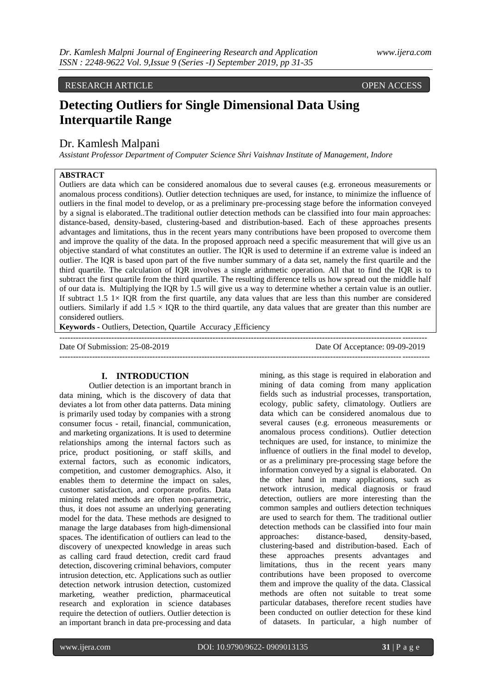# A. RESEARCH ARTICLE OPEN ACCESS

# **Detecting Outliers for Single Dimensional Data Using Interquartile Range**

## Dr. Kamlesh Malpani

*Assistant Professor Department of Computer Science Shri Vaishnav Institute of Management, Indore* 

#### **ABSTRACT**

Outliers are data which can be considered anomalous due to several causes (e.g. erroneous measurements or anomalous process conditions). Outlier detection techniques are used, for instance, to minimize the influence of outliers in the final model to develop, or as a preliminary pre-processing stage before the information conveyed by a signal is elaborated..The traditional outlier detection methods can be classified into four main approaches: distance-based, density-based, clustering-based and distribution-based. Each of these approaches presents advantages and limitations, thus in the recent years many contributions have been proposed to overcome them and improve the quality of the data. In the proposed approach need a specific measurement that will give us an objective standard of what constitutes an outlier. The IQR is used to determine if an extreme value is indeed an outlier. The IQR is based upon part of the five number summary of a data set, namely the first quartile and the third quartile. The calculation of IQR involves a single arithmetic operation. All that to find the IQR is to subtract the first quartile from the third quartile. The resulting difference tells us how spread out the middle half of our data is. Multiplying the IQR by 1.5 will give us a way to determine whether a certain value is an outlier. If subtract  $1.5 \, 1 \times$  IOR from the first quartile, any data values that are less than this number are considered outliers. Similarly if add  $1.5 \times IQR$  to the third quartile, any data values that are greater than this number are considered outliers.

**Keywords -** Outliers, Detection, Quartile Accuracy ,Efficiency

-------------------------------------------------------------------------------------------------------------------------------------- Date Of Submission: 25-08-2019 Date Of Acceptance: 09-09-2019 ---------------------------------------------------------------------------------------------------------------------------------------

#### **I. INTRODUCTION**

Outlier detection is an important branch in data mining, which is the discovery of data that deviates a lot from other data patterns. Data mining is primarily used today by companies with a strong consumer focus - retail, financial, communication, and marketing organizations. It is used to determine relationships among the internal factors such as price, product positioning, or staff skills, and external factors, such as economic indicators, competition, and customer demographics. Also, it enables them to determine the impact on sales, customer satisfaction, and corporate profits. Data mining related methods are often non-parametric, thus, it does not assume an underlying generating model for the data. These methods are designed to manage the large databases from high-dimensional spaces. The identification of outliers can lead to the discovery of unexpected knowledge in areas such as calling card fraud detection, credit card fraud detection, discovering criminal behaviors, computer intrusion detection, etc. Applications such as outlier detection network intrusion detection, customized marketing, weather prediction, pharmaceutical research and exploration in science databases require the detection of outliers. Outlier detection is an important branch in data pre-processing and data mining, as this stage is required in elaboration and mining of data coming from many application fields such as industrial processes, transportation, ecology, public safety, climatology. Outliers are data which can be considered anomalous due to several causes (e.g. erroneous measurements or anomalous process conditions). Outlier detection techniques are used, for instance, to minimize the influence of outliers in the final model to develop, or as a preliminary pre-processing stage before the information conveyed by a signal is elaborated. On the other hand in many applications, such as network intrusion, medical diagnosis or fraud detection, outliers are more interesting than the common samples and outliers detection techniques are used to search for them. The traditional outlier detection methods can be classified into four main approaches: distance-based, density-based, clustering-based and distribution-based. Each of these approaches presents advantages and limitations, thus in the recent years many contributions have been proposed to overcome them and improve the quality of the data. Classical methods are often not suitable to treat some particular databases, therefore recent studies have been conducted on outlier detection for these kind of datasets. In particular, a high number of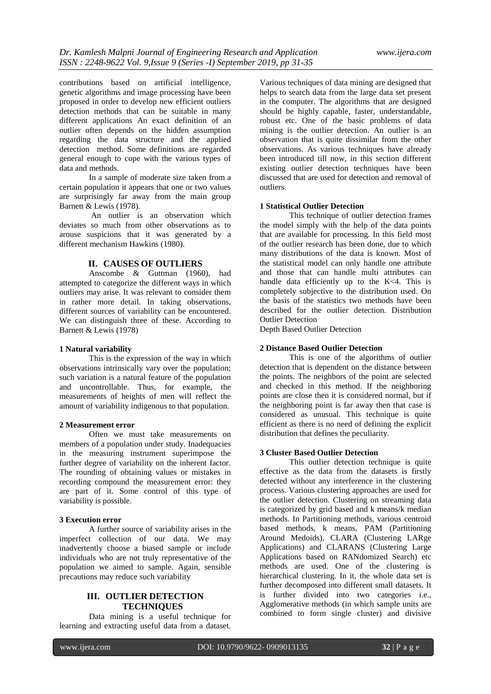contributions based on artificial intelligence, genetic algorithms and image processing have been proposed in order to develop new efficient outliers detection methods that can be suitable in many different applications An exact definition of an outlier often depends on the hidden assumption regarding the data structure and the applied detection method. Some definitions are regarded general enough to cope with the various types of data and methods.

In a sample of moderate size taken from a certain population it appears that one or two values are surprisingly far away from the main group Barnett & Lewis (1978).

An outlier is an observation which deviates so much from other observations as to arouse suspicions that it was generated by a different mechanism Hawkins (1980).

#### **II. CAUSES OF OUTLIERS**

Anscombe & Guttman (1960), had attempted to categorize the different ways in which outliers may arise. It was relevant to consider them in rather more detail. In taking observations, different sources of variability can be encountered. We can distinguish three of these. According to Barnett & Lewis (1978)

#### **1 Natural variability**

This is the expression of the way in which observations intrinsically vary over the population; such variation is a natural feature of the population and uncontrollable. Thus, for example, the measurements of heights of men will reflect the amount of variability indigenous to that population.

#### **2 Measurement error**

Often we must take measurements on members of a population under study. Inadequacies in the measuring instrument superimpose the further degree of variability on the inherent factor. The rounding of obtaining values or mistakes in recording compound the measurement error: they are part of it. Some control of this type of variability is possible.

#### **3 Execution error**

A further source of variability arises in the imperfect collection of our data. We may inadvertently choose a biased sample or include individuals who are not truly representative of the population we aimed to sample. Again, sensible precautions may reduce such variability

#### **III. OUTLIER DETECTION TECHNIQUES**

Data mining is a useful technique for learning and extracting useful data from a dataset.

Various techniques of data mining are designed that helps to search data from the large data set present in the computer. The algorithms that are designed should be highly capable, faster, understandable, robust etc. One of the basic problems of data mining is the outlier detection. An outlier is an observation that is quite dissimilar from the other observations. As various techniques have already been introduced till now, in this section different existing outlier detection techniques have been discussed that are used for detection and removal of outliers.

#### **1 Statistical Outlier Detection**

This technique of outlier detection frames the model simply with the help of the data points that are available for processing. In this field most of the outlier research has been done, due to which many distributions of the data is known. Most of the statistical model can only handle one attribute and those that can handle multi attributes can handle data efficiently up to the K<4. This is completely subjective to the distribution used. On the basis of the statistics two methods have been described for the outlier detection. Distribution Outlier Detection

Depth Based Outlier Detection

#### **2 Distance Based Outlier Detection**

This is one of the algorithms of outlier detection that is dependent on the distance between the points. The neighbors of the point are selected and checked in this method. If the neighboring points are close then it is considered normal, but if the neighboring point is far away then that case is considered as unusual. This technique is quite efficient as there is no need of defining the explicit distribution that defines the peculiarity.

#### **3 Cluster Based Outlier Detection**

This outlier detection technique is quite effective as the data from the datasets is firstly detected without any interference in the clustering process. Various clustering approaches are used for the outlier detection. Clustering on streaming data is categorized by grid based and k means/k median methods. In Partitioning methods, various centroid based methods, k means, PAM (Partitioning Around Medoids), CLARA (Clustering LARge Applications) and CLARANS (Clustering Large Applications based on RANdomized Search) etc methods are used. One of the clustering is hierarchical clustering. In it, the whole data set is further decomposed into different small datasets. It is further divided into two categories i.e., Agglomerative methods (in which sample units are combined to form single cluster) and divisive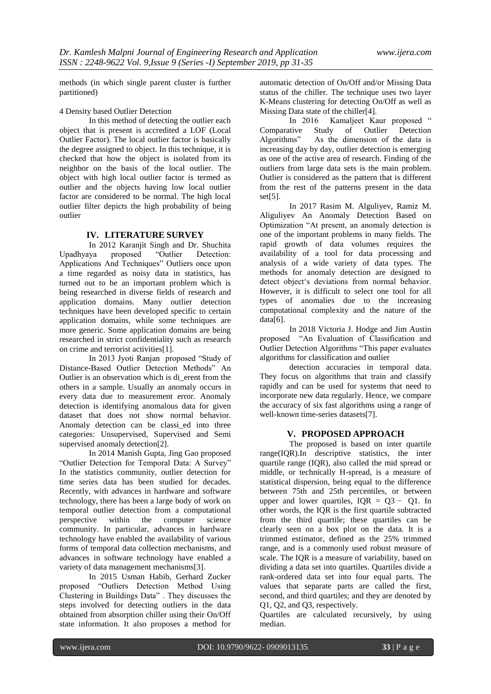methods (in which single parent cluster is further partitioned)

4 Density based Outlier Detection

In this method of detecting the outlier each object that is present is accredited a LOF (Local Outlier Factor). The local outlier factor is basically the degree assigned to object. In this technique, it is checked that how the object is isolated from its neighbor on the basis of the local outlier. The object with high local outlier factor is termed as outlier and the objects having low local outlier factor are considered to be normal. The high local outlier filter depicts the high probability of being outlier

#### **IV. LITERATURE SURVEY**

In 2012 Karanjit Singh and Dr. Shuchita Upadhyaya proposed "Outlier Detection: Applications And Techniques" Outliers once upon a time regarded as noisy data in statistics, has turned out to be an important problem which is being researched in diverse fields of research and application domains. Many outlier detection techniques have been developed specific to certain application domains, while some techniques are more generic. Some application domains are being researched in strict confidentiality such as research on crime and terrorist activities[1].

In 2013 Jyoti Ranjan proposed "Study of Distance-Based Outlier Detection Methods" An Outlier is an observation which is di\_erent from the others in a sample. Usually an anomaly occurs in every data due to measurement error. Anomaly detection is identifying anomalous data for given dataset that does not show normal behavior. Anomaly detection can be classi\_ed into three categories: Unsupervised, Supervised and Semi supervised anomaly detection[2].

In 2014 Manish Gupta, Jing Gao proposed "Outlier Detection for Temporal Data: A Survey" In the statistics community, outlier detection for time series data has been studied for decades. Recently, with advances in hardware and software technology, there has been a large body of work on temporal outlier detection from a computational<br>perspective within the computer science perspective within the computer science community. In particular, advances in hardware technology have enabled the availability of various forms of temporal data collection mechanisms, and advances in software technology have enabled a variety of data management mechanisms[3].

In 2015 Usman Habib, Gerhard Zucker proposed "Outliers Detection Method Using Clustering in Buildings Data" . They discusses the steps involved for detecting outliers in the data obtained from absorption chiller using their On/Off state information. It also proposes a method for

automatic detection of On/Off and/or Missing Data status of the chiller. The technique uses two layer K-Means clustering for detecting On/Off as well as Missing Data state of the chiller<sup>[4]</sup>.<br>In 2016 Kamalieet Ka

In 2016 Kamaljeet Kaur proposed "<br>Comparative Study of Outlier Detection Comparative Study of Outlier<br>Algorithms" As the dimension of As the dimension of the data is increasing day by day, outlier detection is emerging as one of the active area of research. Finding of the outliers from large data sets is the main problem. Outlier is considered as the pattern that is different from the rest of the patterns present in the data set[5].

In 2017 Rasim M. Alguliyev, Ramiz M. Aliguliyev An Anomaly Detection Based on Optimization "At present, an anomaly detection is one of the important problems in many fields. The rapid growth of data volumes requires the availability of a tool for data processing and analysis of a wide variety of data types. The methods for anomaly detection are designed to detect object"s deviations from normal behavior. However, it is difficult to select one tool for all types of anomalies due to the increasing computational complexity and the nature of the data[6].

In 2018 Victoria J. Hodge and Jim Austin proposed "An Evaluation of Classification and Outlier Detection Algorithms "This paper evaluates algorithms for classification and outlier

detection accuracies in temporal data. They focus on algorithms that train and classify rapidly and can be used for systems that need to incorporate new data regularly. Hence, we compare the accuracy of six fast algorithms using a range of well-known time-series datasets[7].

### **V. PROPOSED APPROACH**

The proposed is based on inter quartile range(IQR).In [descriptive statistics,](https://en.wikipedia.org/wiki/Descriptive_statistics) the inter quartile range (IQR), also called the mid spread or middle, or technically H-spread, is a measure of [statistical dispersion,](https://en.wikipedia.org/wiki/Statistical_dispersion) being equal to the difference between 75th and 25th [percentiles,](https://en.wikipedia.org/wiki/Percentiles) or between upper and lower [quartiles,](https://en.wikipedia.org/wiki/Quartile)  $IQR = Q3 - Q1$ . In other words, the IQR is the first quartile subtracted from the third quartile; these quartiles can be clearly seen on a [box plot](https://en.wikipedia.org/wiki/Box_plot) on the data. It is a [trimmed estimator,](https://en.wikipedia.org/wiki/Trimmed_estimator) defined as the 25% trimmed [range,](https://en.wikipedia.org/wiki/Range_(statistics)) and is a commonly used [robust measure of](https://en.wikipedia.org/wiki/Robust_measures_of_scale)  [scale.](https://en.wikipedia.org/wiki/Robust_measures_of_scale) The IQR is a measure of variability, based on dividing a data set into quartiles. Quartiles divide a rank-ordered data set into four equal parts. The values that separate parts are called the first, second, and third quartiles; and they are denoted by Q1, Q2, and Q3, respectively.

Quartiles are calculated recursively, by using median.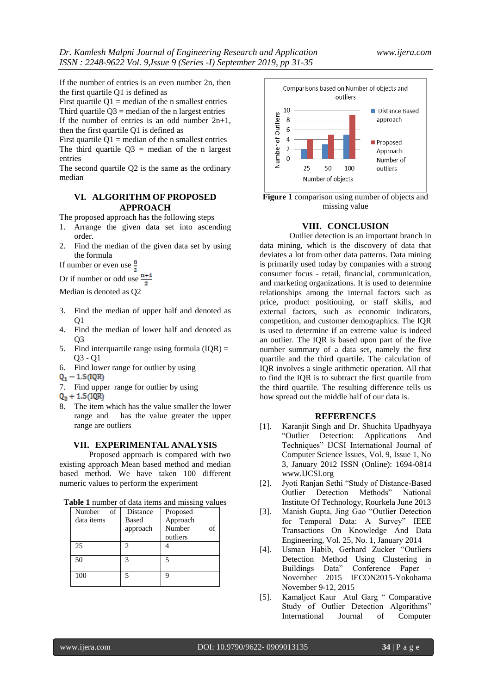If the number of entries is an even number 2n, then the first quartile Q1 is defined as

First quartile  $Q1$  = median of the n smallest entries Third quartile  $Q3$  = median of the n largest entries If the number of entries is an odd number  $2n+1$ , then the first quartile Q1 is defined as

First quartile  $Q1$  = median of the n smallest entries The third quartile  $Q3$  = median of the n largest entries

The second quartile Q2 is the same as the ordinary median

#### **VI. ALGORITHM OF PROPOSED APPROACH**

The proposed approach has the following steps

- 1. Arrange the given data set into ascending order.
- 2. Find the median of the given data set by using the formula

If number or even use  $\frac{1}{2}$ 

Or if number or odd use  $\frac{n+1}{2}$ 

Median is denoted as Q2

- 3. Find the median of upper half and denoted as  $O<sub>1</sub>$
- 4. Find the median of lower half and denoted as  $O<sub>3</sub>$
- 5. Find interquartile range using formula  $(IQR) =$ Q3 - Q1
- 6. Find lower range for outlier by using  $Q_1 1.5(QR)$
- 
- 7. Find upper range for outlier by using
- $Q_2 + 1.5(1QR)$
- 8. The item which has the value smaller the lower range and has the value greater the upper range are outliers

#### **VII. EXPERIMENTAL ANALYSIS**

Proposed approach is compared with two existing approach Mean based method and median based method. We have taken 100 different numeric values to perform the experiment

| Number<br>of<br>data items | <b>Distance</b><br>Based<br>approach | Proposed<br>Approach<br>Number<br>of<br>outliers |
|----------------------------|--------------------------------------|--------------------------------------------------|
| 25                         | 2                                    |                                                  |
| 50                         | 3                                    | 5                                                |
| 100                        | 5                                    | q                                                |



**Figure 1** comparison using number of objects and missing value

#### **VIII. CONCLUSION**

Outlier detection is an important branch in data mining, which is the discovery of data that deviates a lot from other data patterns. Data mining is primarily used today by companies with a strong consumer focus - retail, financial, communication, and marketing organizations. It is used to determine relationships among the internal factors such as price, product positioning, or staff skills, and external factors, such as economic indicators, competition, and customer demographics. The IQR is used to determine if an extreme value is indeed an outlier. The IQR is based upon part of the five number summary of a data set, namely the first quartile and the third quartile. The calculation of IQR involves a single arithmetic operation. All that to find the IQR is to subtract the first quartile from the third quartile. The resulting difference tells us how spread out the middle half of our data is.

#### **REFERENCES**

- [1]. Karanjit Singh and Dr. Shuchita Upadhyaya "Outlier Detection: Applications And Techniques" IJCSI International Journal of Computer Science Issues, Vol. 9, Issue 1, No 3, January 2012 ISSN (Online): 1694-0814 www.IJCSI.org
- [2]. Jyoti Ranjan Sethi "Study of Distance-Based Outlier Detection Methods" National Institute Of Technology, Rourkela June 2013
- [3]. Manish Gupta, Jing Gao "Outlier Detection for Temporal Data: A Survey" IEEE Transactions On Knowledge And Data Engineering, Vol. 25, No. 1, January 2014
- [4]. Usman Habib, Gerhard Zucker "Outliers Detection Method Using Clustering in Buildings Data" Conference Paper November 2015 IECON2015-Yokohama November 9-12, 2015
- [5]. Kamaljeet Kaur Atul Garg " Comparative Study of Outlier Detection Algorithms" International Journal of Computer